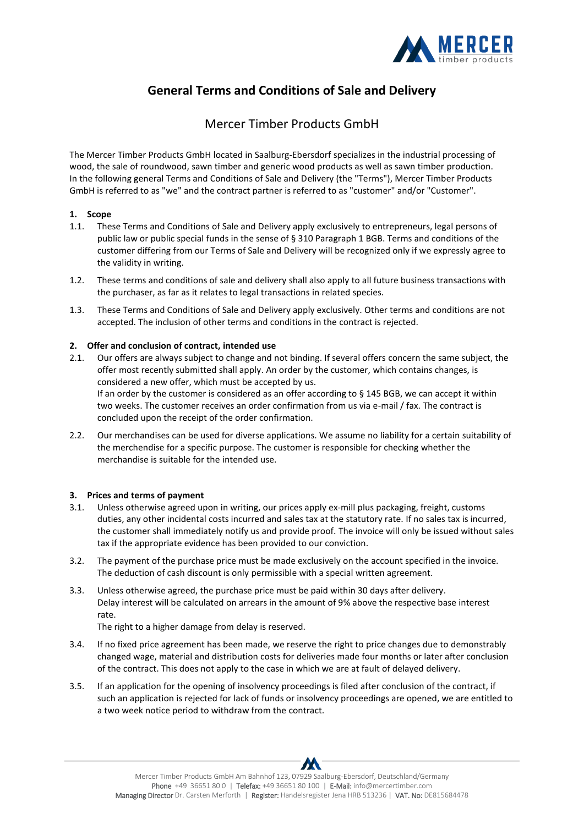

# **General Terms and Conditions of Sale and Delivery**

## Mercer Timber Products GmbH

The Mercer Timber Products GmbH located in Saalburg-Ebersdorf specializes in the industrial processing of wood, the sale of roundwood, sawn timber and generic wood products as well as sawn timber production. In the following general Terms and Conditions of Sale and Delivery (the "Terms"), Mercer Timber Products GmbH is referred to as "we" and the contract partner is referred to as "customer" and/or "Customer".

## **1. Scope**

- 1.1. These Terms and Conditions of Sale and Delivery apply exclusively to entrepreneurs, legal persons of public law or public special funds in the sense of § 310 Paragraph 1 BGB. Terms and conditions of the customer differing from our Terms of Sale and Delivery will be recognized only if we expressly agree to the validity in writing.
- 1.2. These terms and conditions of sale and delivery shall also apply to all future business transactions with the purchaser, as far as it relates to legal transactions in related species.
- 1.3. These Terms and Conditions of Sale and Delivery apply exclusively. Other terms and conditions are not accepted. The inclusion of other terms and conditions in the contract is rejected.

## **2. Offer and conclusion of contract, intended use**

- 2.1. Our offers are always subject to change and not binding. If several offers concern the same subject, the offer most recently submitted shall apply. An order by the customer, which contains changes, is considered a new offer, which must be accepted by us. If an order by the customer is considered as an offer according to § 145 BGB, we can accept it within two weeks. The customer receives an order confirmation from us via e-mail / fax. The contract is concluded upon the receipt of the order confirmation.
- 2.2. Our merchandises can be used for diverse applications. We assume no liability for a certain suitability of the merchendise for a specific purpose. The customer is responsible for checking whether the merchandise is suitable for the intended use.

## **3. Prices and terms of payment**

- 3.1. Unless otherwise agreed upon in writing, our prices apply ex-mill plus packaging, freight, customs duties, any other incidental costs incurred and sales tax at the statutory rate. If no sales tax is incurred, the customer shall immediately notify us and provide proof. The invoice will only be issued without sales tax if the appropriate evidence has been provided to our conviction.
- 3.2. The payment of the purchase price must be made exclusively on the account specified in the invoice. The deduction of cash discount is only permissible with a special written agreement.
- 3.3. Unless otherwise agreed, the purchase price must be paid within 30 days after delivery. Delay interest will be calculated on arrears in the amount of 9% above the respective base interest rate.

The right to a higher damage from delay is reserved.

- 3.4. If no fixed price agreement has been made, we reserve the right to price changes due to demonstrably changed wage, material and distribution costs for deliveries made four months or later after conclusion of the contract. This does not apply to the case in which we are at fault of delayed delivery.
- 3.5. If an application for the opening of insolvency proceedings is filed after conclusion of the contract, if such an application is rejected for lack of funds or insolvency proceedings are opened, we are entitled to a two week notice period to withdraw from the contract.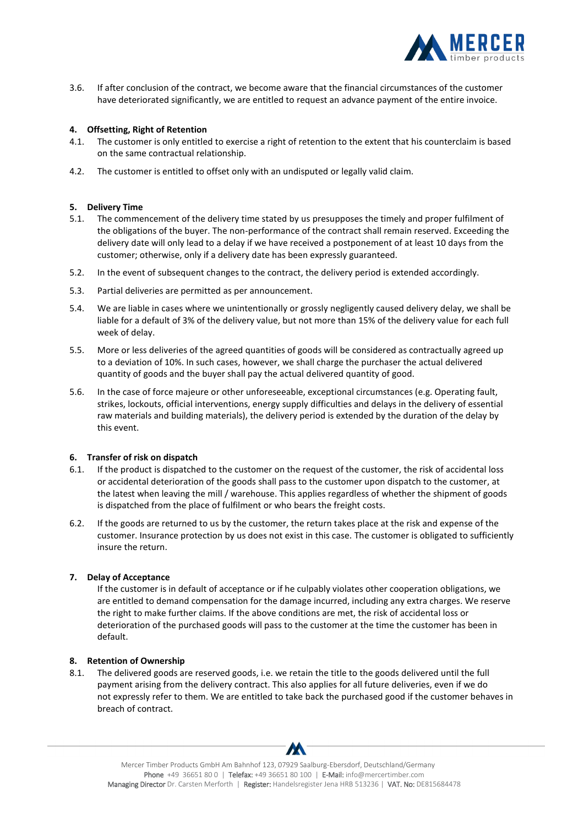

3.6. If after conclusion of the contract, we become aware that the financial circumstances of the customer have deteriorated significantly, we are entitled to request an advance payment of the entire invoice.

### **4. Offsetting, Right of Retention**

- 4.1. The customer is only entitled to exercise a right of retention to the extent that his counterclaim is based on the same contractual relationship.
- 4.2. The customer is entitled to offset only with an undisputed or legally valid claim.

### **5. Delivery Time**

- 5.1. The commencement of the delivery time stated by us presupposes the timely and proper fulfilment of the obligations of the buyer. The non-performance of the contract shall remain reserved. Exceeding the delivery date will only lead to a delay if we have received a postponement of at least 10 days from the customer; otherwise, only if a delivery date has been expressly guaranteed.
- 5.2. In the event of subsequent changes to the contract, the delivery period is extended accordingly.
- 5.3. Partial deliveries are permitted as per announcement.
- 5.4. We are liable in cases where we unintentionally or grossly negligently caused delivery delay, we shall be liable for a default of 3% of the delivery value, but not more than 15% of the delivery value for each full week of delay.
- 5.5. More or less deliveries of the agreed quantities of goods will be considered as contractually agreed up to a deviation of 10%. In such cases, however, we shall charge the purchaser the actual delivered quantity of goods and the buyer shall pay the actual delivered quantity of good.
- 5.6. In the case of force majeure or other unforeseeable, exceptional circumstances (e.g. Operating fault, strikes, lockouts, official interventions, energy supply difficulties and delays in the delivery of essential raw materials and building materials), the delivery period is extended by the duration of the delay by this event.

### **6. Transfer of risk on dispatch**

- 6.1. If the product is dispatched to the customer on the request of the customer, the risk of accidental loss or accidental deterioration of the goods shall pass to the customer upon dispatch to the customer, at the latest when leaving the mill / warehouse. This applies regardless of whether the shipment of goods is dispatched from the place of fulfilment or who bears the freight costs.
- 6.2. If the goods are returned to us by the customer, the return takes place at the risk and expense of the customer. Insurance protection by us does not exist in this case. The customer is obligated to sufficiently insure the return.

### **7. Delay of Acceptance**

If the customer is in default of acceptance or if he culpably violates other cooperation obligations, we are entitled to demand compensation for the damage incurred, including any extra charges. We reserve the right to make further claims. If the above conditions are met, the risk of accidental loss or deterioration of the purchased goods will pass to the customer at the time the customer has been in default.

### **8. Retention of Ownership**

8.1. The delivered goods are reserved goods, i.e. we retain the title to the goods delivered until the full payment arising from the delivery contract. This also applies for all future deliveries, even if we do not expressly refer to them. We are entitled to take back the purchased good if the customer behaves in breach of contract.

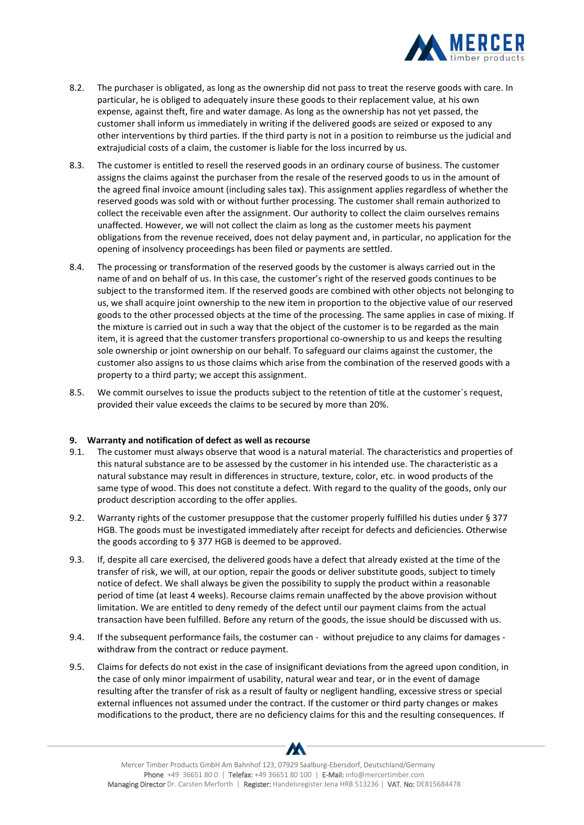

- 8.2. The purchaser is obligated, as long as the ownership did not pass to treat the reserve goods with care. In particular, he is obliged to adequately insure these goods to their replacement value, at his own expense, against theft, fire and water damage. As long as the ownership has not yet passed, the customer shall inform us immediately in writing if the delivered goods are seized or exposed to any other interventions by third parties. If the third party is not in a position to reimburse us the judicial and extrajudicial costs of a claim, the customer is liable for the loss incurred by us.
- 8.3. The customer is entitled to resell the reserved goods in an ordinary course of business. The customer assigns the claims against the purchaser from the resale of the reserved goods to us in the amount of the agreed final invoice amount (including sales tax). This assignment applies regardless of whether the reserved goods was sold with or without further processing. The customer shall remain authorized to collect the receivable even after the assignment. Our authority to collect the claim ourselves remains unaffected. However, we will not collect the claim as long as the customer meets his payment obligations from the revenue received, does not delay payment and, in particular, no application for the opening of insolvency proceedings has been filed or payments are settled.
- 8.4. The processing or transformation of the reserved goods by the customer is always carried out in the name of and on behalf of us. In this case, the customer's right of the reserved goods continues to be subject to the transformed item. If the reserved goods are combined with other objects not belonging to us, we shall acquire joint ownership to the new item in proportion to the objective value of our reserved goods to the other processed objects at the time of the processing. The same applies in case of mixing. If the mixture is carried out in such a way that the object of the customer is to be regarded as the main item, it is agreed that the customer transfers proportional co-ownership to us and keeps the resulting sole ownership or joint ownership on our behalf. To safeguard our claims against the customer, the customer also assigns to us those claims which arise from the combination of the reserved goods with a property to a third party; we accept this assignment.
- 8.5. We commit ourselves to issue the products subject to the retention of title at the customer's request, provided their value exceeds the claims to be secured by more than 20%.

#### **9. Warranty and notification of defect as well as recourse**

- 9.1. The customer must always observe that wood is a natural material. The characteristics and properties of this natural substance are to be assessed by the customer in his intended use. The characteristic as a natural substance may result in differences in structure, texture, color, etc. in wood products of the same type of wood. This does not constitute a defect. With regard to the quality of the goods, only our product description according to the offer applies.
- 9.2. Warranty rights of the customer presuppose that the customer properly fulfilled his duties under § 377 HGB. The goods must be investigated immediately after receipt for defects and deficiencies. Otherwise the goods according to § 377 HGB is deemed to be approved.
- 9.3. If, despite all care exercised, the delivered goods have a defect that already existed at the time of the transfer of risk, we will, at our option, repair the goods or deliver substitute goods, subject to timely notice of defect. We shall always be given the possibility to supply the product within a reasonable period of time (at least 4 weeks). Recourse claims remain unaffected by the above provision without limitation. We are entitled to deny remedy of the defect until our payment claims from the actual transaction have been fulfilled. Before any return of the goods, the issue should be discussed with us.
- 9.4. If the subsequent performance fails, the costumer can without prejudice to any claims for damages withdraw from the contract or reduce payment.
- 9.5. Claims for defects do not exist in the case of insignificant deviations from the agreed upon condition, in the case of only minor impairment of usability, natural wear and tear, or in the event of damage resulting after the transfer of risk as a result of faulty or negligent handling, excessive stress or special external influences not assumed under the contract. If the customer or third party changes or makes modifications to the product, there are no deficiency claims for this and the resulting consequences. If